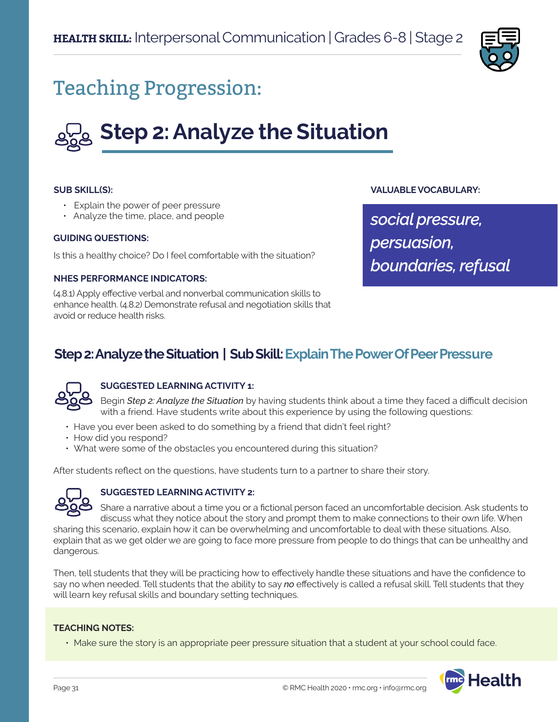

## Teaching Progression:

# **Step 2: Analyze the Situation**

#### **SUB SKILL(S):**

- Explain the power of peer pressure
- Analyze the time, place, and people

#### **GUIDING QUESTIONS:**

Is this a healthy choice? Do I feel comfortable with the situation?

#### **NHES PERFORMANCE INDICATORS:**

(4.8.1) Apply effective verbal and nonverbal communication skills to enhance health. (4.8.2) Demonstrate refusal and negotiation skills that avoid or reduce health risks.

#### **VALUABLE VOCABULARY:**

*social pressure, persuasion, boundaries, refusal*

### **Step 2: Analyze the Situation | Sub Skill: Explain The Power Of Peer Pressure**



#### **SUGGESTED LEARNING ACTIVITY 1:**

Begin *Step 2: Analyze the Situation* by having students think about a time they faced a difficult decision with a friend. Have students write about this experience by using the following questions:

- Have you ever been asked to do something by a friend that didn't feel right?
- How did you respond?
- What were some of the obstacles you encountered during this situation?

After students reflect on the questions, have students turn to a partner to share their story.



#### **SUGGESTED LEARNING ACTIVITY 2:**

Share a narrative about a time you or a fictional person faced an uncomfortable decision. Ask students to discuss what they notice about the story and prompt them to make connections to their own life. When

sharing this scenario, explain how it can be overwhelming and uncomfortable to deal with these situations. Also, explain that as we get older we are going to face more pressure from people to do things that can be unhealthy and dangerous.

Then, tell students that they will be practicing how to effectively handle these situations and have the confidence to say no when needed. Tell students that the ability to say *no* effectively is called a refusal skill. Tell students that they will learn key refusal skills and boundary setting techniques.

#### **TEACHING NOTES:**

• Make sure the story is an appropriate peer pressure situation that a student at your school could face.